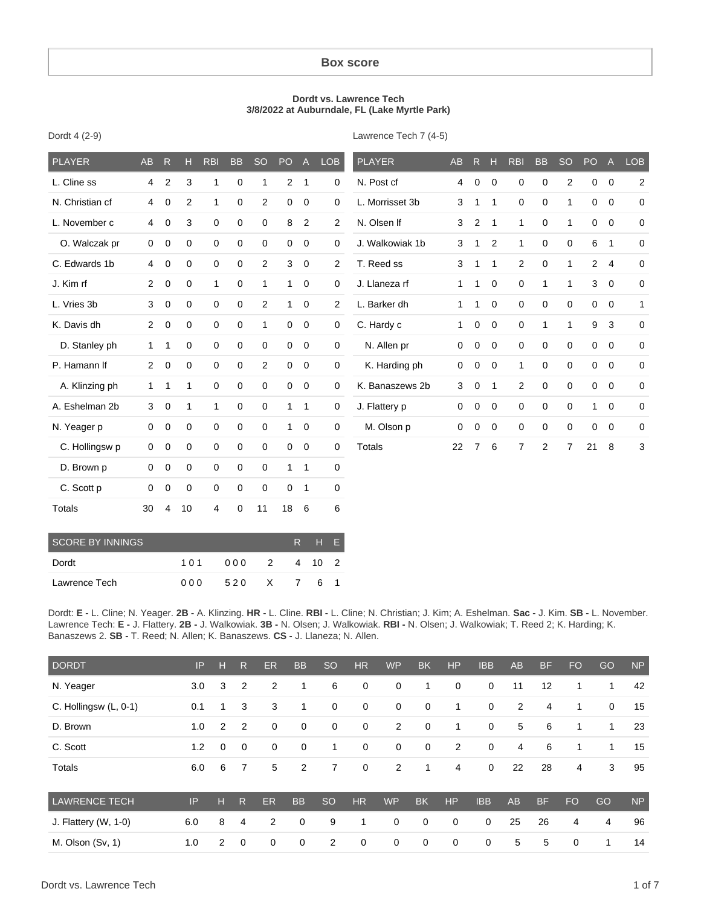## **Box score**

## **Dordt vs. Lawrence Tech 3/8/2022 at Auburndale, FL (Lake Myrtle Park)**

| <b>PLAYER</b>   | <b>AB</b>      | $\mathsf{R}$   | Н              | <b>RBI</b>   | <b>BB</b>   | <b>SO</b>      | PO             | $\overline{A}$ | <b>LOB</b>     | <b>PLAYER</b>   | <b>AB</b>   | R            | Н           | <b>RBI</b>     | <b>BB</b>    | <b>SO</b>      | PO             | A              | LOB            |
|-----------------|----------------|----------------|----------------|--------------|-------------|----------------|----------------|----------------|----------------|-----------------|-------------|--------------|-------------|----------------|--------------|----------------|----------------|----------------|----------------|
| L. Cline ss     | $\overline{4}$ | $\overline{c}$ | 3              | 1            | 0           | 1              | $\overline{2}$ | $\mathbf 1$    | 0              | N. Post cf      | 4           | $\mathbf 0$  | 0           | 0              | 0            | 2              | 0              | $\mathbf 0$    | $\overline{c}$ |
| N. Christian cf | 4              | 0              | $\overline{2}$ | 1            | 0           | $\overline{2}$ | 0              | 0              | 0              | L. Morrisset 3b | 3           | 1            | 1           | 0              | 0            | 1              | 0              | $\mathbf 0$    | $\mathbf 0$    |
| L. November c   | 4              | 0              | 3              | $\mathbf 0$  | 0           | $\mathbf 0$    | 8              | 2              | $\overline{2}$ | N. Olsen If     | 3           | 2            | 1           | $\mathbf{1}$   | 0            | $\mathbf{1}$   | 0              | $\mathbf 0$    | $\mathbf 0$    |
| O. Walczak pr   | 0              | $\mathbf 0$    | $\mathbf 0$    | $\mathbf 0$  | $\pmb{0}$   | $\mathbf 0$    | 0              | 0              | 0              | J. Walkowiak 1b | 3           | 1            | 2           | $\mathbf{1}$   | 0            | 0              | 6              | $\overline{1}$ | $\mathbf 0$    |
| C. Edwards 1b   | $\overline{4}$ | $\mathbf 0$    | $\mathbf 0$    | $\mathbf 0$  | $\mathbf 0$ | $\overline{2}$ | 3              | $\mathbf 0$    | $\overline{2}$ | T. Reed ss      | 3           | 1            | 1           | $\overline{2}$ | $\mathbf 0$  | $\mathbf{1}$   | $\overline{2}$ | $\overline{4}$ | $\mathbf 0$    |
| J. Kim rf       | $\overline{2}$ | 0              | $\mathbf 0$    | $\mathbf{1}$ | $\mathbf 0$ | $\mathbf{1}$   | $\mathbf{1}$   | $\mathbf 0$    | 0              | J. Llaneza rf   | 1           | $\mathbf{1}$ | $\mathbf 0$ | $\mathbf 0$    | $\mathbf{1}$ | $\mathbf{1}$   | 3              | $\mathbf 0$    | $\mathbf 0$    |
| L. Vries 3b     | 3              | 0              | $\mathbf 0$    | 0            | 0           | 2              | $\mathbf{1}$   | 0              | 2              | L. Barker dh    | 1           | 1            | 0           | 0              | $\mathbf 0$  | $\mathbf 0$    | $\mathbf 0$    | $\mathbf 0$    | 1              |
| K. Davis dh     | $\overline{2}$ | 0              | $\mathbf 0$    | $\mathbf 0$  | $\mathbf 0$ | $\mathbf{1}$   | $\mathbf 0$    | $\mathbf 0$    | 0              | C. Hardy c      | 1           | 0            | $\mathbf 0$ | 0              | $\mathbf{1}$ | $\mathbf{1}$   | 9              | 3              | $\mathbf 0$    |
| D. Stanley ph   | $\mathbf{1}$   | 1              | $\mathbf 0$    | 0            | $\mathbf 0$ | $\mathbf 0$    | 0              | 0              | $\mathbf 0$    | N. Allen pr     | $\mathbf 0$ | 0            | $\mathbf 0$ | 0              | $\mathbf 0$  | $\mathbf 0$    | $\mathbf 0$    | $\mathbf 0$    | $\mathbf 0$    |
| P. Hamann If    | $\overline{2}$ | 0              | 0              | 0            | 0           | 2              | 0              | 0              | $\mathbf 0$    | K. Harding ph   | 0           | 0            | $\mathbf 0$ | $\mathbf{1}$   | $\mathbf 0$  | $\mathbf 0$    | 0              | $\mathbf 0$    | $\mathbf 0$    |
| A. Klinzing ph  | $\mathbf{1}$   | 1              | 1              | $\mathbf 0$  | 0           | $\mathbf 0$    | 0              | 0              | 0              | K. Banaszews 2b | 3           | 0            | 1           | 2              | $\mathbf 0$  | 0              | 0              | $\mathbf 0$    | $\mathbf 0$    |
| A. Eshelman 2b  | 3              | 0              | 1              | $\mathbf{1}$ | $\mathbf 0$ | $\mathbf 0$    | $\mathbf{1}$   | $\mathbf{1}$   | 0              | J. Flattery p   | $\mathbf 0$ | 0            | $\mathbf 0$ | 0              | 0            | $\mathbf 0$    | 1              | $\mathbf 0$    | $\mathbf 0$    |
| N. Yeager p     | $\mathbf 0$    | 0              | 0              | $\mathbf 0$  | $\mathbf 0$ | $\mathbf 0$    | $\mathbf{1}$   | $\mathbf 0$    | $\pmb{0}$      | M. Olson p      | $\mathbf 0$ | 0            | 0           | 0              | $\mathbf 0$  | $\mathbf 0$    | 0              | $\mathbf 0$    | $\mathbf 0$    |
| C. Hollingsw p  | $\Omega$       | 0              | 0              | $\mathbf 0$  | $\mathbf 0$ | $\mathbf 0$    | $\mathbf 0$    | 0              | 0              | <b>Totals</b>   | 22          | 7            | 6           | 7              | 2            | $\overline{7}$ | 21             | 8              | 3              |
| D. Brown p      | $\mathbf 0$    | $\mathbf 0$    | 0              | $\mathbf 0$  | $\mathbf 0$ | $\mathbf 0$    | $\mathbf{1}$   | $\mathbf 1$    | 0              |                 |             |              |             |                |              |                |                |                |                |
| C. Scott p      | 0              | 0              | 0              | $\mathbf 0$  | 0           | $\mathbf 0$    | 0              | 1              | 0              |                 |             |              |             |                |              |                |                |                |                |
| <b>Totals</b>   | 30             | 4              | 10             | 4            | 0           | 11             | 18             | 6              | 6              |                 |             |              |             |                |              |                |                |                |                |

Dordt 4 (2-9)

Lawrence Tech 7 (4-5)

| <b>SCORE BY INNINGS</b> | R H F |              |  |  |  |
|-------------------------|-------|--------------|--|--|--|
| Dordt                   | 101   | 000 2 4 10 2 |  |  |  |
| Lawrence Tech           | 000   | 520 X 7 6 1  |  |  |  |

Dordt: **E -** L. Cline; N. Yeager. **2B -** A. Klinzing. **HR -** L. Cline. **RBI -** L. Cline; N. Christian; J. Kim; A. Eshelman. **Sac -** J. Kim. **SB -** L. November. Lawrence Tech: **E -** J. Flattery. **2B -** J. Walkowiak. **3B -** N. Olsen; J. Walkowiak. **RBI -** N. Olsen; J. Walkowiak; T. Reed 2; K. Harding; K. Banaszews 2. **SB -** T. Reed; N. Allen; K. Banaszews. **CS -** J. Llaneza; N. Allen.

| <b>DORDT</b>           | IP  | н              | $\mathsf{R}$   | ER          | <b>BB</b>   | <sub>SO</sub> | HR          | <b>WP</b>   | <b>BK</b>   | <b>HP</b>      | <b>IBB</b>  | <b>AB</b>      | <b>BF</b> | <b>FO</b> | GO          | <b>NP</b> |
|------------------------|-----|----------------|----------------|-------------|-------------|---------------|-------------|-------------|-------------|----------------|-------------|----------------|-----------|-----------|-------------|-----------|
| N. Yeager              | 3.0 | 3              | $\overline{2}$ | 2           | 1           | 6             | 0           | $\mathbf 0$ | 1           | $\mathbf 0$    | $\mathbf 0$ | 11             | 12        | 1         | 1           | 42        |
| C. Hollingsw (L, 0-1)  | 0.1 |                | 3              | 3           | 1           | $\mathbf 0$   | $\mathbf 0$ | $\mathbf 0$ | 0           | 1              | $\mathbf 0$ | 2              | 4         | 1         | $\mathbf 0$ | 15        |
| D. Brown               | 1.0 | 2              | $\overline{2}$ | $\mathbf 0$ | $\mathbf 0$ | $\mathbf 0$   | 0           | 2           | 0           | 1              | $\mathbf 0$ | 5              | 6         | 1         | 1           | 23        |
| C. Scott               | 1.2 | 0              | $\mathbf 0$    | 0           | $\mathbf 0$ | 1             | 0           | $\mathbf 0$ | 0           | $\overline{2}$ | $\mathbf 0$ | $\overline{4}$ | 6         | 1         | 1           | 15        |
| Totals                 | 6.0 | 6              | $\overline{7}$ | 5           | 2           | 7             | 0           | 2           | 1           | 4              | $\mathbf 0$ | 22             | 28        | 4         | 3           | 95        |
| <b>LAWRENCE TECH</b>   | IP  | н              | R.             | ER          | <b>BB</b>   | <sub>SO</sub> | <b>HR</b>   | <b>WP</b>   | <b>BK</b>   | <b>HP</b>      | <b>IBB</b>  | <b>AB</b>      | <b>BF</b> | <b>FO</b> | GO          | <b>NP</b> |
| J. Flattery $(W, 1-0)$ | 6.0 | 8              | 4              | 2           | 0           | 9             | 1           | 0           | 0           | $\mathbf 0$    | $\mathbf 0$ | 25             | 26        | 4         | 4           | 96        |
| M. Olson (Sv, 1)       | 1.0 | $\overline{2}$ | $\mathbf 0$    | 0           | 0           | 2             | 0           | $\mathbf 0$ | $\mathbf 0$ | $\mathbf 0$    | $\mathbf 0$ | 5              | 5         | 0         | 1           | 14        |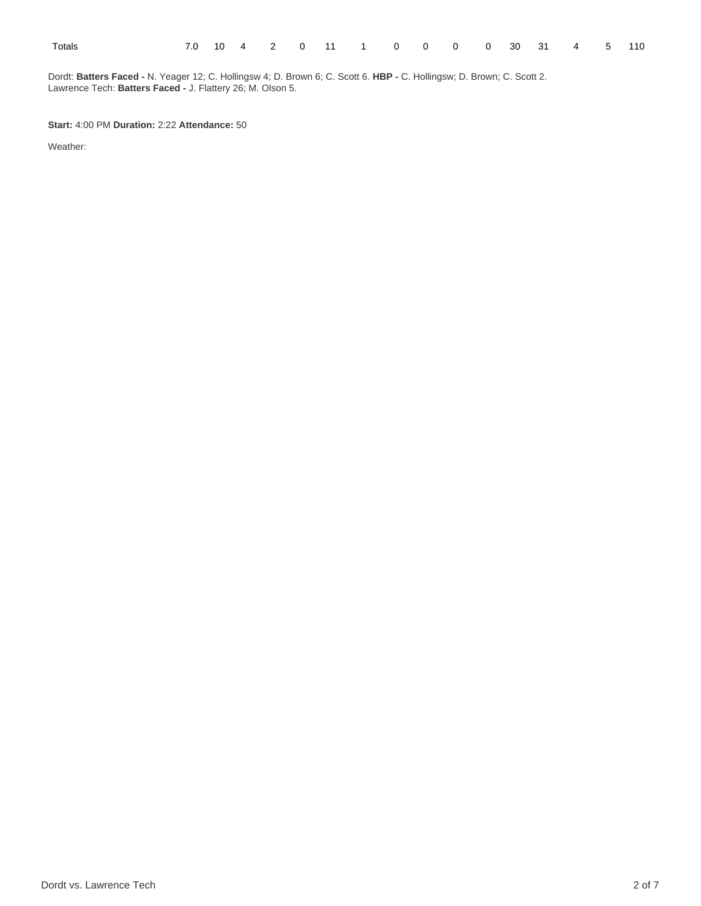|--|--|

Dordt: **Batters Faced -** N. Yeager 12; C. Hollingsw 4; D. Brown 6; C. Scott 6. **HBP -** C. Hollingsw; D. Brown; C. Scott 2. Lawrence Tech: **Batters Faced -** J. Flattery 26; M. Olson 5.

**Start:** 4:00 PM **Duration:** 2:22 **Attendance:** 50

Weather: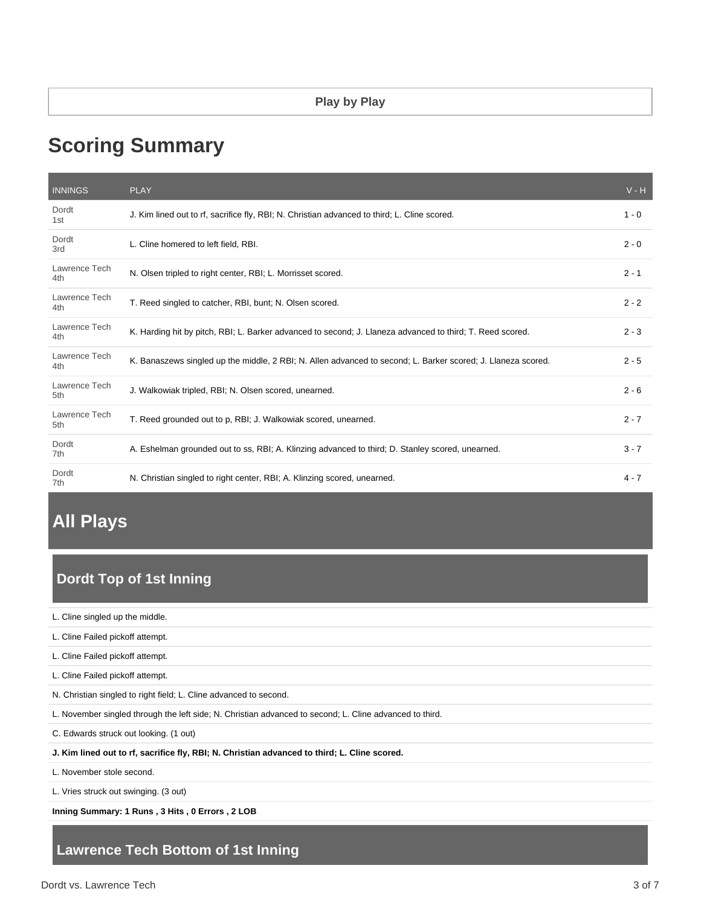# **Scoring Summary**

| <b>INNINGS</b>       | <b>PLAY</b>                                                                                                  | $V - H$ |
|----------------------|--------------------------------------------------------------------------------------------------------------|---------|
| Dordt<br>1st         | J. Kim lined out to rf, sacrifice fly, RBI; N. Christian advanced to third; L. Cline scored.                 | $1 - 0$ |
| Dordt<br>3rd         | L. Cline homered to left field, RBI.                                                                         | $2 - 0$ |
| Lawrence Tech<br>4th | N. Olsen tripled to right center, RBI; L. Morrisset scored.                                                  | $2 - 1$ |
| Lawrence Tech<br>4th | T. Reed singled to catcher, RBI, bunt; N. Olsen scored.                                                      | $2 - 2$ |
| Lawrence Tech<br>4th | K. Harding hit by pitch, RBI; L. Barker advanced to second; J. Llaneza advanced to third; T. Reed scored.    | $2 - 3$ |
| Lawrence Tech<br>4th | K. Banaszews singled up the middle, 2 RBI; N. Allen advanced to second; L. Barker scored; J. Llaneza scored. | $2 - 5$ |
| Lawrence Tech<br>5th | J. Walkowiak tripled, RBI; N. Olsen scored, unearned.                                                        | $2 - 6$ |
| Lawrence Tech<br>5th | T. Reed grounded out to p, RBI; J. Walkowiak scored, unearned.                                               | $2 - 7$ |
| Dordt<br>7th         | A. Eshelman grounded out to ss, RBI; A. Klinzing advanced to third; D. Stanley scored, unearned.             | $3 - 7$ |
| Dordt<br>7th         | N. Christian singled to right center, RBI; A. Klinzing scored, unearned.                                     | $4 - 7$ |

# **All Plays**

# **Dordt Top of 1st Inning**

L. Cline singled up the middle.

L. Cline Failed pickoff attempt.

L. Cline Failed pickoff attempt.

L. Cline Failed pickoff attempt.

N. Christian singled to right field; L. Cline advanced to second.

L. November singled through the left side; N. Christian advanced to second; L. Cline advanced to third.

C. Edwards struck out looking. (1 out)

**J. Kim lined out to rf, sacrifice fly, RBI; N. Christian advanced to third; L. Cline scored.**

L. November stole second.

L. Vries struck out swinging. (3 out)

**Inning Summary: 1 Runs , 3 Hits , 0 Errors , 2 LOB**

# **Lawrence Tech Bottom of 1st Inning**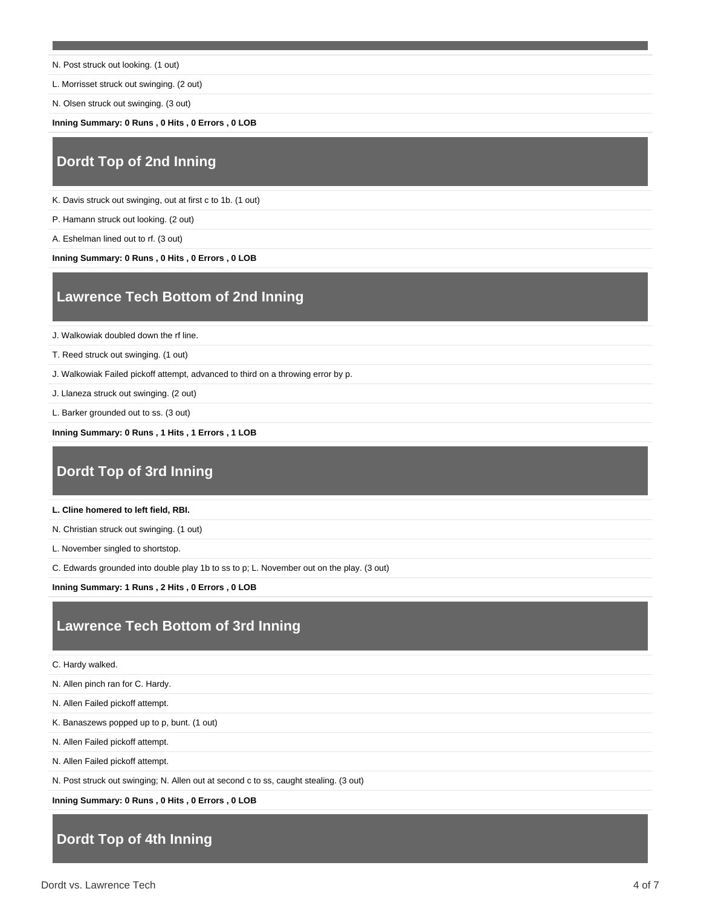- N. Post struck out looking. (1 out)
- L. Morrisset struck out swinging. (2 out)
- N. Olsen struck out swinging. (3 out)

**Inning Summary: 0 Runs , 0 Hits , 0 Errors , 0 LOB**

# **Dordt Top of 2nd Inning**

K. Davis struck out swinging, out at first c to 1b. (1 out)

P. Hamann struck out looking. (2 out)

A. Eshelman lined out to rf. (3 out)

**Inning Summary: 0 Runs , 0 Hits , 0 Errors , 0 LOB**

# **Lawrence Tech Bottom of 2nd Inning**

J. Walkowiak doubled down the rf line.

T. Reed struck out swinging. (1 out)

J. Walkowiak Failed pickoff attempt, advanced to third on a throwing error by p.

J. Llaneza struck out swinging. (2 out)

L. Barker grounded out to ss. (3 out)

**Inning Summary: 0 Runs , 1 Hits , 1 Errors , 1 LOB**

## **Dordt Top of 3rd Inning**

### **L. Cline homered to left field, RBI.**

N. Christian struck out swinging. (1 out)

L. November singled to shortstop.

C. Edwards grounded into double play 1b to ss to p; L. November out on the play. (3 out)

**Inning Summary: 1 Runs , 2 Hits , 0 Errors , 0 LOB**

## **Lawrence Tech Bottom of 3rd Inning**

C. Hardy walked.

N. Allen pinch ran for C. Hardy.

N. Allen Failed pickoff attempt.

K. Banaszews popped up to p, bunt. (1 out)

N. Allen Failed pickoff attempt.

N. Allen Failed pickoff attempt.

N. Post struck out swinging; N. Allen out at second c to ss, caught stealing. (3 out)

**Inning Summary: 0 Runs , 0 Hits , 0 Errors , 0 LOB**

# **Dordt Top of 4th Inning**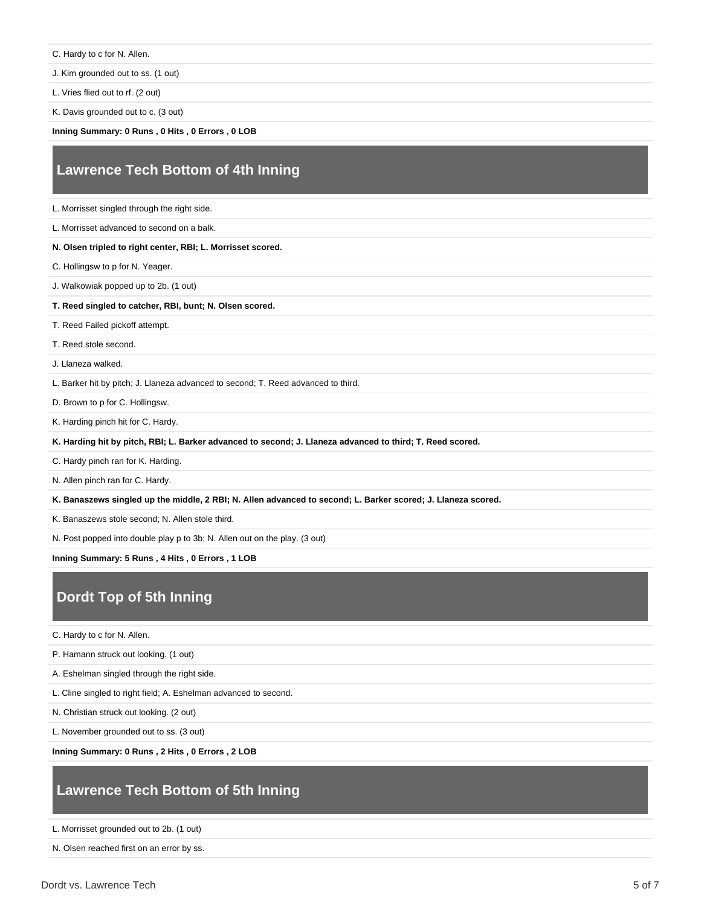C. Hardy to c for N. Allen.

J. Kim grounded out to ss. (1 out)

L. Vries flied out to rf. (2 out)

K. Davis grounded out to c. (3 out)

**Inning Summary: 0 Runs , 0 Hits , 0 Errors , 0 LOB**

# **Lawrence Tech Bottom of 4th Inning**

L. Morrisset singled through the right side.

L. Morrisset advanced to second on a balk.

### **N. Olsen tripled to right center, RBI; L. Morrisset scored.**

C. Hollingsw to p for N. Yeager.

J. Walkowiak popped up to 2b. (1 out)

#### **T. Reed singled to catcher, RBI, bunt; N. Olsen scored.**

T. Reed Failed pickoff attempt.

T. Reed stole second.

J. Llaneza walked.

L. Barker hit by pitch; J. Llaneza advanced to second; T. Reed advanced to third.

D. Brown to p for C. Hollingsw.

K. Harding pinch hit for C. Hardy.

**K. Harding hit by pitch, RBI; L. Barker advanced to second; J. Llaneza advanced to third; T. Reed scored.**

C. Hardy pinch ran for K. Harding.

N. Allen pinch ran for C. Hardy.

**K. Banaszews singled up the middle, 2 RBI; N. Allen advanced to second; L. Barker scored; J. Llaneza scored.**

K. Banaszews stole second; N. Allen stole third.

N. Post popped into double play p to 3b; N. Allen out on the play. (3 out)

**Inning Summary: 5 Runs , 4 Hits , 0 Errors , 1 LOB**

# **Dordt Top of 5th Inning**

C. Hardy to c for N. Allen.

P. Hamann struck out looking. (1 out)

A. Eshelman singled through the right side.

L. Cline singled to right field; A. Eshelman advanced to second.

N. Christian struck out looking. (2 out)

L. November grounded out to ss. (3 out)

**Inning Summary: 0 Runs , 2 Hits , 0 Errors , 2 LOB**

# **Lawrence Tech Bottom of 5th Inning**

L. Morrisset grounded out to 2b. (1 out)

N. Olsen reached first on an error by ss.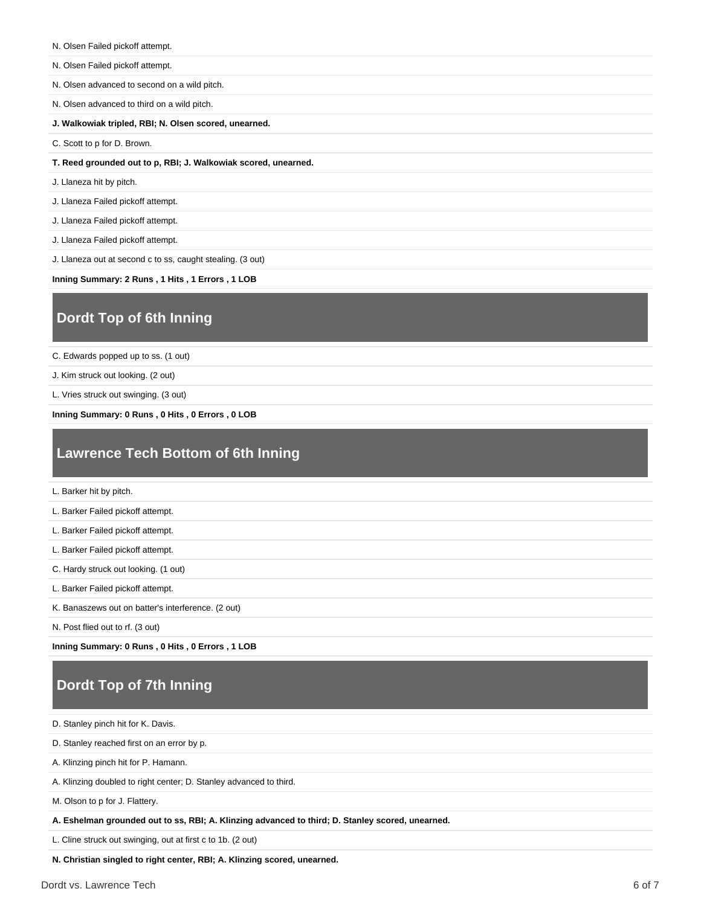- N. Olsen Failed pickoff attempt.
- N. Olsen Failed pickoff attempt.
- N. Olsen advanced to second on a wild pitch.
- N. Olsen advanced to third on a wild pitch.
- **J. Walkowiak tripled, RBI; N. Olsen scored, unearned.**
- C. Scott to p for D. Brown.
- **T. Reed grounded out to p, RBI; J. Walkowiak scored, unearned.**
- J. Llaneza hit by pitch.
- J. Llaneza Failed pickoff attempt.
- J. Llaneza Failed pickoff attempt.
- J. Llaneza Failed pickoff attempt.
- J. Llaneza out at second c to ss, caught stealing. (3 out)
- **Inning Summary: 2 Runs , 1 Hits , 1 Errors , 1 LOB**

# **Dordt Top of 6th Inning**

C. Edwards popped up to ss. (1 out)

J. Kim struck out looking. (2 out)

L. Vries struck out swinging. (3 out)

**Inning Summary: 0 Runs , 0 Hits , 0 Errors , 0 LOB**

# **Lawrence Tech Bottom of 6th Inning**

L. Barker hit by pitch.

L. Barker Failed pickoff attempt.

- L. Barker Failed pickoff attempt.
- L. Barker Failed pickoff attempt.
- C. Hardy struck out looking. (1 out)
- L. Barker Failed pickoff attempt.
- K. Banaszews out on batter's interference. (2 out)

N. Post flied out to rf. (3 out)

**Inning Summary: 0 Runs , 0 Hits , 0 Errors , 1 LOB**

# **Dordt Top of 7th Inning**

D. Stanley pinch hit for K. Davis.

D. Stanley reached first on an error by p.

- A. Klinzing pinch hit for P. Hamann.
- A. Klinzing doubled to right center; D. Stanley advanced to third.

M. Olson to p for J. Flattery.

**A. Eshelman grounded out to ss, RBI; A. Klinzing advanced to third; D. Stanley scored, unearned.**

L. Cline struck out swinging, out at first c to 1b. (2 out)

**N. Christian singled to right center, RBI; A. Klinzing scored, unearned.**